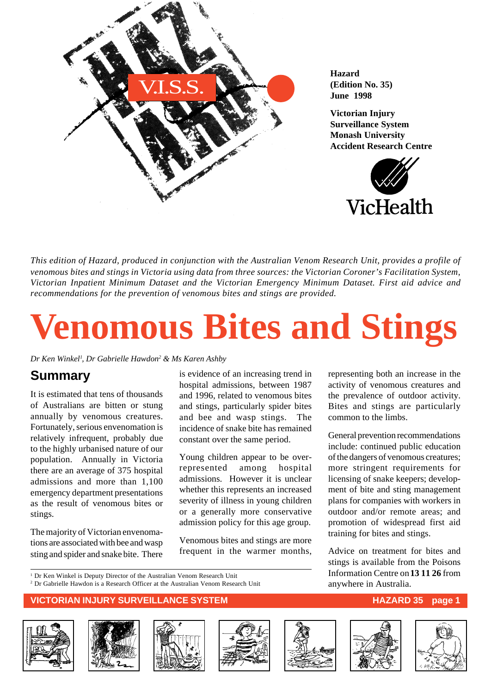

**Hazard (Edition No. 35) June 1998**

**Victorian Injury Surveillance System Monash University Accident Research Centre**



*This edition of Hazard, produced in conjunction with the Australian Venom Research Unit, provides a profile of venomous bites and stings in Victoria using data from three sources: the Victorian Coroner's Facilitation System, Victorian Inpatient Minimum Dataset and the Victorian Emergency Minimum Dataset. First aid advice and recommendations for the prevention of venomous bites and stings are provided.*

# **Venomous Bites and Stings**

*Dr Ken Winkel1 , Dr Gabrielle Hawdon2 & Ms Karen Ashby*

### **Summary**

It is estimated that tens of thousands of Australians are bitten or stung annually by venomous creatures. Fortunately, serious envenomation is relatively infrequent, probably due to the highly urbanised nature of our population. Annually in Victoria there are an average of 375 hospital admissions and more than 1,100 emergency department presentations as the result of venomous bites or stings.

The majority of Victorian envenomations are associated with bee and wasp sting and spider and snake bite. There is evidence of an increasing trend in hospital admissions, between 1987 and 1996, related to venomous bites and stings, particularly spider bites and bee and wasp stings. The incidence of snake bite has remained constant over the same period.

Young children appear to be overrepresented among hospital admissions. However it is unclear whether this represents an increased severity of illness in young children or a generally more conservative admission policy for this age group.

Venomous bites and stings are more frequent in the warmer months,

representing both an increase in the activity of venomous creatures and the prevalence of outdoor activity. Bites and stings are particularly common to the limbs.

General prevention recommendations include: continued public education of the dangers of venomous creatures; more stringent requirements for licensing of snake keepers; development of bite and sting management plans for companies with workers in outdoor and/or remote areas; and promotion of widespread first aid training for bites and stings.

Advice on treatment for bites and stings is available from the Poisons Information Centre on **13 11 26** from anywhere in Australia.

<sup>1</sup> Dr Ken Winkel is Deputy Director of the Australian Venom Research Unit

2 Dr Gabrielle Hawdon is a Research Officer at the Australian Venom Research Unit













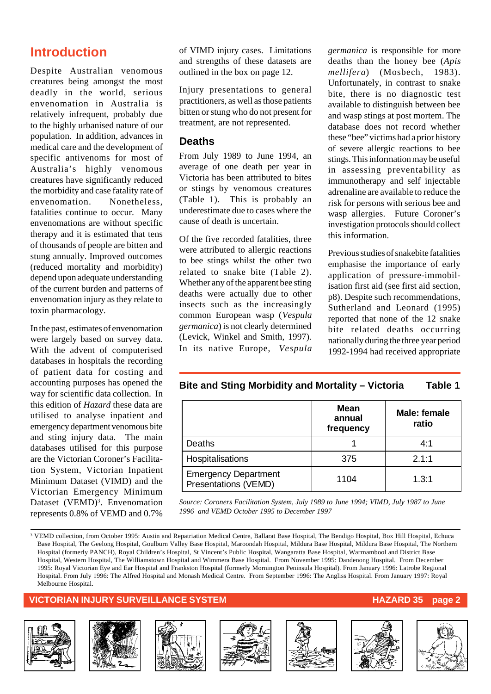### **Introduction**

Despite Australian venomous creatures being amongst the most deadly in the world, serious envenomation in Australia is relatively infrequent, probably due to the highly urbanised nature of our population. In addition, advances in medical care and the development of specific antivenoms for most of Australia's highly venomous creatures have significantly reduced the morbidity and case fatality rate of envenomation. Nonetheless, fatalities continue to occur. Many envenomations are without specific therapy and it is estimated that tens of thousands of people are bitten and stung annually. Improved outcomes (reduced mortality and morbidity) depend upon adequate understanding of the current burden and patterns of envenomation injury as they relate to toxin pharmacology.

In the past, estimates of envenomation were largely based on survey data. With the advent of computerised databases in hospitals the recording of patient data for costing and accounting purposes has opened the way for scientific data collection. In this edition of *Hazard* these data are utilised to analyse inpatient and emergency department venomous bite and sting injury data. The main databases utilised for this purpose are the Victorian Coroner's Facilitation System, Victorian Inpatient Minimum Dataset (VIMD) and the Victorian Emergency Minimum Dataset (VEMD)<sup>3</sup>. Envenomation represents 0.8% of VEMD and 0.7%

of VIMD injury cases. Limitations and strengths of these datasets are outlined in the box on page 12.

Injury presentations to general practitioners, as well as those patients bitten or stung who do not present for treatment, are not represented.

#### **Deaths**

From July 1989 to June 1994, an average of one death per year in Victoria has been attributed to bites or stings by venomous creatures (Table 1). This is probably an underestimate due to cases where the cause of death is uncertain.

Of the five recorded fatalities, three were attributed to allergic reactions to bee stings whilst the other two related to snake bite (Table 2). Whether any of the apparent bee sting deaths were actually due to other insects such as the increasingly common European wasp (*Vespula germanica*) is not clearly determined (Levick, Winkel and Smith, 1997). In its native Europe, *Vespula* *germanica* is responsible for more deaths than the honey bee (*Apis mellifera*) (Mosbech, 1983). Unfortunately, in contrast to snake bite, there is no diagnostic test available to distinguish between bee and wasp stings at post mortem. The database does not record whether these "bee" victims had a prior history of severe allergic reactions to bee stings. This information may be useful in assessing preventability as immunotherapy and self injectable adrenaline are available to reduce the risk for persons with serious bee and wasp allergies. Future Coroner's investigation protocols should collect this information.

Previous studies of snakebite fatalities emphasise the importance of early application of pressure-immobilisation first aid (see first aid section, p8). Despite such recommendations, Sutherland and Leonard (1995) reported that none of the 12 snake bite related deaths occurring nationally during the three year period 1992-1994 had received appropriate

#### **Bite and Sting Morbidity and Mortality – Victoria Table 1**

|                                                     | <b>Mean</b><br>annual<br>frequency | <b>Male: female</b><br>ratio |
|-----------------------------------------------------|------------------------------------|------------------------------|
| Deaths                                              |                                    | 4:1                          |
| Hospitalisations                                    | 375                                | 2.1:1                        |
| <b>Emergency Department</b><br>Presentations (VEMD) | 1104                               | 1.3:1                        |

*Source: Coroners Facilitation System, July 1989 to June 1994; VIMD, July 1987 to June 1996 and VEMD October 1995 to December 1997*

#### **VICTORIAN INJURY SURVEILLANCE SYSTEM AND RESOLUTION CONTROLLY AND RESOLUTION CONTROLLY AND RESOLUTION CONTROLLY**















<sup>3</sup> VEMD collection, from October 1995: Austin and Repatriation Medical Centre, Ballarat Base Hospital, The Bendigo Hospital, Box Hill Hospital, Echuca Base Hospital, The Geelong Hospital, Goulburn Valley Base Hospital, Maroondah Hospital, Mildura Base Hospital, Mildura Base Hospital, The Northern Hospital (formerly PANCH), Royal Children's Hospital, St Vincent's Public Hospital, Wangaratta Base Hospital, Warrnambool and District Base Hospital, Western Hospital, The Williamstown Hospital and Wimmera Base Hospital. From November 1995: Dandenong Hospital. From December 1995: Royal Victorian Eye and Ear Hospital and Frankston Hospital (formerly Mornington Peninsula Hospital). From January 1996: Latrobe Regional Hospital. From July 1996: The Alfred Hospital and Monash Medical Centre. From September 1996: The Angliss Hospital. From January 1997: Royal Melbourne Hospital.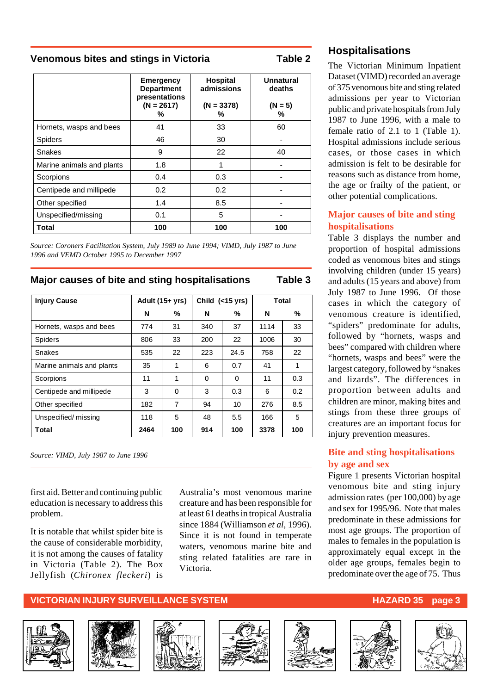#### **Venomous bites and stings in Victoria Table 2**

|                           | <b>Emergency</b><br><b>Department</b><br>presentations<br>$(N = 2617)$<br>% | <b>Hospital</b><br>admissions<br>$(N = 3378)$<br>% | <b>Unnatural</b><br>deaths<br>$(N = 5)$<br>% |  |
|---------------------------|-----------------------------------------------------------------------------|----------------------------------------------------|----------------------------------------------|--|
| Hornets, wasps and bees   | 41                                                                          | 33                                                 | 60                                           |  |
| <b>Spiders</b>            | 46                                                                          | 30                                                 |                                              |  |
| Snakes                    | 9                                                                           | 22                                                 | 40                                           |  |
| Marine animals and plants | 1.8                                                                         | 1                                                  |                                              |  |
| Scorpions                 | 0.4                                                                         | 0.3                                                |                                              |  |
| Centipede and millipede   | 0.2                                                                         | 0.2                                                |                                              |  |
| Other specified           | 1.4                                                                         | 8.5                                                |                                              |  |
| Unspecified/missing       | 0.1                                                                         | 5                                                  |                                              |  |
| Total                     | 100                                                                         | 100                                                | 100                                          |  |

*Source: Coroners Facilitation System, July 1989 to June 1994; VIMD, July 1987 to June 1996 and VEMD October 1995 to December 1997*

#### **Major causes of bite and sting hospitalisations Table 3**

| <b>Injury Cause</b>       | Adult (15+ yrs) |     | Child (<15 yrs) |          | Total |               |
|---------------------------|-----------------|-----|-----------------|----------|-------|---------------|
|                           | N               | %   | N               | %        | N     | %             |
| Hornets, wasps and bees   | 774             | 31  | 340             | 37       | 1114  | 33            |
| Spiders                   | 806             | 33  | 200             | 22       | 1006  | 30            |
| Snakes                    | 535             | 22  | 223             | 24.5     | 758   | 22            |
| Marine animals and plants | 35              | 1   | 6               | 0.7      | 41    | 1             |
| Scorpions                 | 11              | 1   | $\Omega$        | $\Omega$ | 11    | 0.3           |
| Centipede and millipede   | 3               | 0   | 3               | 0.3      | 6     | $0.2^{\circ}$ |
| Other specified           | 182             | 7   | 94              | 10       | 276   | 8.5           |
| Unspecified/missing       | 118             | 5   | 48              | 5.5      | 166   | 5             |
| Total                     | 2464            | 100 | 914             | 100      | 3378  | 100           |

*Source: VIMD, July 1987 to June 1996*

first aid. Better and continuing public education is necessary to address this problem.

It is notable that whilst spider bite is the cause of considerable morbidity, it is not among the causes of fatality in Victoria (Table 2). The Box Jellyfish (*Chironex fleckeri*) is Australia's most venomous marine creature and has been responsible for at least 61 deaths in tropical Australia since 1884 (Williamson *et al*, 1996). Since it is not found in temperate waters, venomous marine bite and sting related fatalities are rare in Victoria.

#### **Hospitalisations**

The Victorian Minimum Inpatient Dataset (VIMD) recorded an average of 375 venomous bite and sting related admissions per year to Victorian public and private hospitals from July 1987 to June 1996, with a male to female ratio of 2.1 to 1 (Table 1). Hospital admissions include serious cases, or those cases in which admission is felt to be desirable for reasons such as distance from home, the age or frailty of the patient, or other potential complications.

#### **Major causes of bite and sting hospitalisations**

Table 3 displays the number and proportion of hospital admissions coded as venomous bites and stings involving children (under 15 years) and adults (15 years and above) from July 1987 to June 1996. Of those cases in which the category of venomous creature is identified, "spiders" predominate for adults, followed by "hornets, wasps and bees" compared with children where "hornets, wasps and bees" were the largest category, followed by "snakes and lizards". The differences in proportion between adults and children are minor, making bites and stings from these three groups of creatures are an important focus for injury prevention measures.

#### **Bite and sting hospitalisations by age and sex**

Figure 1 presents Victorian hospital venomous bite and sting injury admission rates (per 100,000) by age and sex for 1995/96. Note that males predominate in these admissions for most age groups. The proportion of males to females in the population is approximately equal except in the older age groups, females begin to predominate over the age of 75. Thus











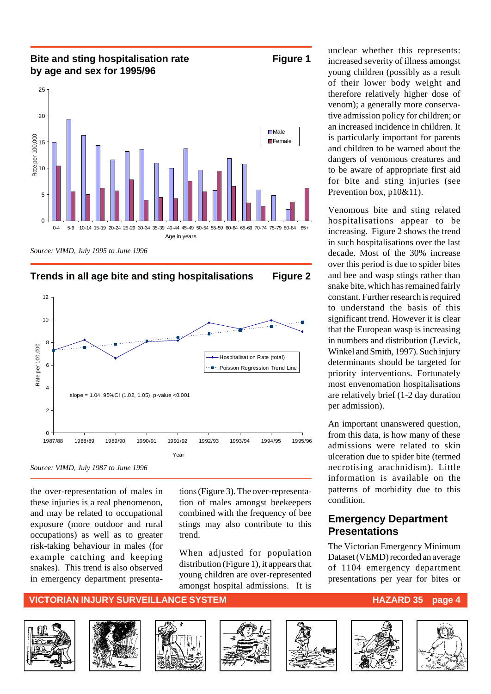#### **Bite and sting hospitalisation rate Figure 1 by age and sex for 1995/96**



*Source: VIMD, July 1995 to June 1996*





*Source: VIMD, July 1987 to June 1996*

the over-representation of males in these injuries is a real phenomenon, and may be related to occupational exposure (more outdoor and rural occupations) as well as to greater risk-taking behaviour in males (for example catching and keeping snakes). This trend is also observed in emergency department presentations (Figure 3). The over-representation of males amongst beekeepers combined with the frequency of bee stings may also contribute to this trend.

When adjusted for population distribution (Figure 1), it appears that young children are over-represented amongst hospital admissions. It is

unclear whether this represents: increased severity of illness amongst young children (possibly as a result of their lower body weight and therefore relatively higher dose of venom); a generally more conservative admission policy for children; or an increased incidence in children. It is particularly important for parents and children to be warned about the dangers of venomous creatures and to be aware of appropriate first aid for bite and sting injuries (see Prevention box, p10&11).

Venomous bite and sting related hospitalisations appear to be increasing. Figure 2 shows the trend in such hospitalisations over the last decade. Most of the 30% increase over this period is due to spider bites and bee and wasp stings rather than snake bite, which has remained fairly constant. Further research is required to understand the basis of this significant trend. However it is clear that the European wasp is increasing in numbers and distribution (Levick, Winkel and Smith, 1997). Such injury determinants should be targeted for priority interventions. Fortunately most envenomation hospitalisations are relatively brief (1-2 day duration per admission).

An important unanswered question, from this data, is how many of these admissions were related to skin ulceration due to spider bite (termed necrotising arachnidism). Little information is available on the patterns of morbidity due to this condition.

#### **Emergency Department Presentations**

The Victorian Emergency Minimum Dataset (VEMD) recorded an average of 1104 emergency department presentations per year for bites or

#### **VICTORIAN INJURY SURVEILLANCE SYSTEM AND RESOLUTION CONTROLLY AND RESOLUTION CONTROLLY AND RESOLUTION CONTROLLY**











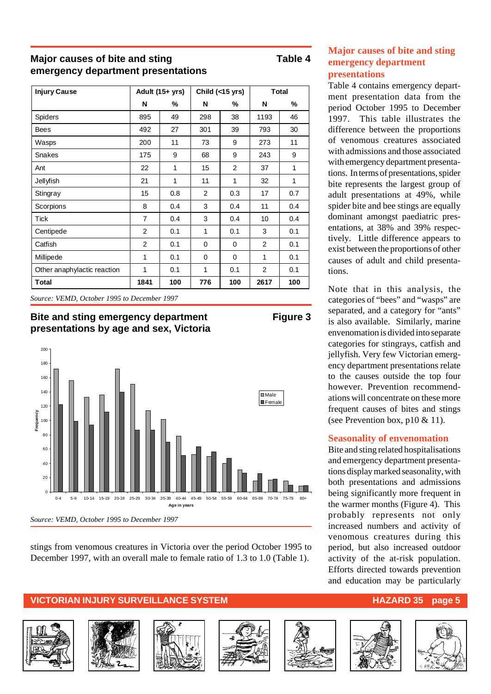#### **Major causes of bite and sting Table 4 emergency department presentations**

| <b>Injury Cause</b>         | Adult (15+ yrs) |     | Child $(<15$ yrs) |                | <b>Total</b>   |     |
|-----------------------------|-----------------|-----|-------------------|----------------|----------------|-----|
|                             | N               | %   | N                 | ℅              | N              | %   |
| <b>Spiders</b>              | 895             | 49  | 298               | 38             | 1193           | 46  |
| Bees                        | 492             | 27  | 301               | 39             | 793            | 30  |
| Wasps                       | 200             | 11  | 73                | 9              | 273            | 11  |
| Snakes                      | 175             | 9   | 68                | 9              | 243            | 9   |
| Ant                         | 22              | 1   | 15                | $\overline{2}$ | 37             | 1   |
| Jellyfish                   | 21              | 1   | 11                | 1              | 32             | 1   |
| Stingray                    | 15              | 0.8 | $\overline{2}$    | 0.3            | 17             | 0.7 |
| Scorpions                   | 8               | 0.4 | 3                 | 0.4            | 11             | 0.4 |
| <b>Tick</b>                 | $\overline{7}$  | 0.4 | 3                 | 0.4            | 10             | 0.4 |
| Centipede                   | $\overline{2}$  | 0.1 | 1                 | 0.1            | 3              | 0.1 |
| Catfish                     | $\overline{2}$  | 0.1 | $\Omega$          | $\Omega$       | 2              | 0.1 |
| Millipede                   | $\mathbf 1$     | 0.1 | $\Omega$          | $\Omega$       | 1              | 0.1 |
| Other anaphylactic reaction | 1               | 0.1 | 1                 | 0.1            | $\overline{2}$ | 0.1 |
| Total                       | 1841            | 100 | 776               | 100            | 2617           | 100 |

*Source: VEMD, October 1995 to December 1997*





stings from venomous creatures in Victoria over the period October 1995 to December 1997, with an overall male to female ratio of 1.3 to 1.0 (Table 1).

#### **Major causes of bite and sting emergency department presentations**

Table 4 contains emergency department presentation data from the period October 1995 to December 1997. This table illustrates the difference between the proportions of venomous creatures associated with admissions and those associated with emergency department presentations. In terms of presentations, spider bite represents the largest group of adult presentations at 49%, while spider bite and bee stings are equally dominant amongst paediatric presentations, at 38% and 39% respectively. Little difference appears to exist between the proportions of other causes of adult and child presentations.

Note that in this analysis, the categories of "bees" and "wasps" are separated, and a category for "ants" is also available. Similarly, marine envenomation is divided into separate categories for stingrays, catfish and jellyfish. Very few Victorian emergency department presentations relate to the causes outside the top four however. Prevention recommendations will concentrate on these more frequent causes of bites and stings (see Prevention box, p10 & 11).

#### **Seasonality of envenomation**

Bite and sting related hospitalisations and emergency department presentations display marked seasonality, with both presentations and admissions being significantly more frequent in the warmer months (Figure 4). This probably represents not only increased numbers and activity of venomous creatures during this period, but also increased outdoor activity of the at-risk population. Efforts directed towards prevention and education may be particularly













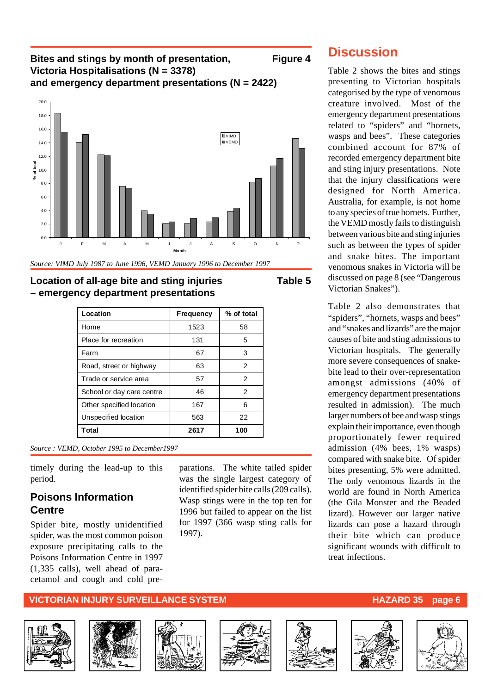#### **Bites and stings by month of presentation, Figure 4 Victoria Hospitalisations (N = 3378) and emergency department presentations (N = 2422)**



*Source: VIMD July 1987 to June 1996, VEMD January 1996 to December 1997*

#### **Location of all-age bite and sting injuries Table 5 – emergency department presentations**

| Location                  | <b>Frequency</b> | % of total |
|---------------------------|------------------|------------|
| Home                      | 1523             | 58         |
| Place for recreation      | 131              | 5          |
| Farm                      | 67               | 3          |
| Road, street or highway   | 63               | 2          |
| Trade or service area     | 57               | 2          |
| School or day care centre | 46               | 2          |
| Other specified location  | 167              | 6          |
| Unspecified location      | 563              | 22         |
| Total                     | 2617             | 100        |

*Source : VEMD, October 1995 to December1997*

timely during the lead-up to this period.

#### **Poisons Information Centre**

Spider bite, mostly unidentified spider, was the most common poison exposure precipitating calls to the Poisons Information Centre in 1997 (1,335 calls), well ahead of paracetamol and cough and cold pre-

#### **VICTORIAN INJURY SURVEILLANCE SYSTEM AND RESOLUTION CONTROLLY AND RESOLUTION CONTROLLY AND RESOLUTION CONTROLLY**







1997).



parations. The white tailed spider was the single largest category of identified spider bite calls (209 calls). Wasp stings were in the top ten for 1996 but failed to appear on the list for 1997 (366 wasp sting calls for







**Discussion**

Table 2 shows the bites and stings presenting to Victorian hospitals categorised by the type of venomous creature involved. Most of the emergency department presentations related to "spiders" and "hornets, wasps and bees". These categories combined account for 87% of recorded emergency department bite and sting injury presentations. Note that the injury classifications were designed for North America. Australia, for example, is not home to any species of true hornets. Further, the VEMD mostly fails to distinguish between various bite and sting injuries such as between the types of spider and snake bites. The important venomous snakes in Victoria will be discussed on page 8 (see "Dangerous Victorian Snakes").

Table 2 also demonstrates that "spiders", "hornets, wasps and bees" and "snakes and lizards" are the major causes of bite and sting admissions to Victorian hospitals. The generally more severe consequences of snakebite lead to their over-representation amongst admissions (40% of emergency department presentations resulted in admission). The much larger numbers of bee and wasp stings explain their importance, even though proportionately fewer required admission (4% bees, 1% wasps) compared with snake bite. Of spider bites presenting, 5% were admitted. The only venomous lizards in the world are found in North America (the Gila Monster and the Beaded lizard). However our larger native lizards can pose a hazard through their bite which can produce significant wounds with difficult to treat infections.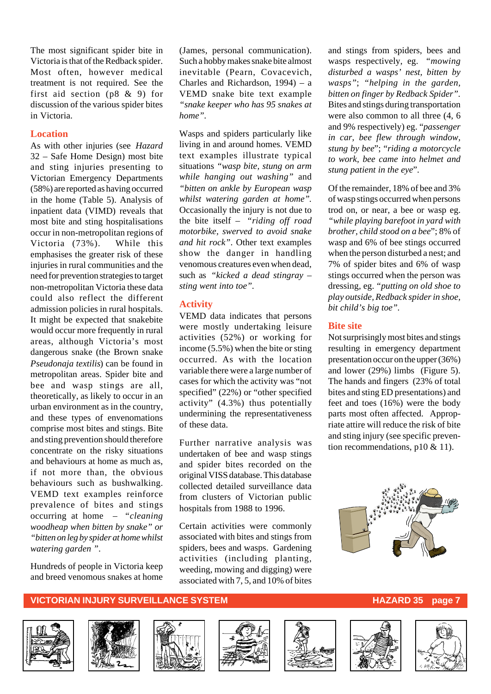The most significant spider bite in Victoria is that of the Redback spider. Most often, however medical treatment is not required. See the first aid section (p8 & 9) for discussion of the various spider bites in Victoria.

#### **Location**

As with other injuries (see *Hazard* 32 – Safe Home Design) most bite and sting injuries presenting to Victorian Emergency Departments (58%) are reported as having occurred in the home (Table 5). Analysis of inpatient data (VIMD) reveals that most bite and sting hospitalisations occur in non-metropolitan regions of Victoria (73%). While this emphasises the greater risk of these injuries in rural communities and the need for prevention strategies to target non-metropolitan Victoria these data could also reflect the different admission policies in rural hospitals. It might be expected that snakebite would occur more frequently in rural areas, although Victoria's most dangerous snake (the Brown snake *Pseudonaja textilis*) can be found in metropolitan areas. Spider bite and bee and wasp stings are all, theoretically, as likely to occur in an urban environment as in the country, and these types of envenomations comprise most bites and stings. Bite and sting prevention should therefore concentrate on the risky situations and behaviours at home as much as, if not more than, the obvious behaviours such as bushwalking. VEMD text examples reinforce prevalence of bites and stings occurring at home – *"cleaning woodheap when bitten by snake" or "bitten on leg by spider at home whilst watering garden "*.

Hundreds of people in Victoria keep and breed venomous snakes at home

(James, personal communication). Such a hobby makes snake bite almost inevitable (Pearn, Covacevich, Charles and Richardson, 1994) – a VEMD snake bite text example *"snake keeper who has 95 snakes at home".*

Wasps and spiders particularly like living in and around homes. VEMD text examples illustrate typical situations *"wasp bite, stung on arm while hanging out washing"* and *"bitten on ankle by European wasp whilst watering garden at home"*. Occasionally the injury is not due to the bite itself – *"riding off road motorbike, swerved to avoid snake and hit rock"*. Other text examples show the danger in handling venomous creatures even when dead, such as *"kicked a dead stingray – sting went into toe".*

#### **Activity**

VEMD data indicates that persons were mostly undertaking leisure activities (52%) or working for income (5.5%) when the bite or sting occurred. As with the location variable there were a large number of cases for which the activity was "not specified" (22%) or "other specified activity" (4.3%) thus potentially undermining the representativeness of these data.

Further narrative analysis was undertaken of bee and wasp stings and spider bites recorded on the original VISS database. This database collected detailed surveillance data from clusters of Victorian public hospitals from 1988 to 1996.

Certain activities were commonly associated with bites and stings from spiders, bees and wasps. Gardening activities (including planting, weeding, mowing and digging) were associated with 7, 5, and 10% of bites

and stings from spiders, bees and wasps respectively, eg. *"mowing disturbed a wasps' nest, bitten by wasps"*; *"helping in the garden, bitten on finger by Redback Spider".* Bites and stings during transportation were also common to all three (4, 6 and 9% respectively) eg. "*passenger in car, bee flew through window, stung by bee*"; "*riding a motorcycle to work, bee came into helmet and stung patient in the eye*".

Of the remainder, 18% of bee and 3% of wasp stings occurred when persons trod on, or near, a bee or wasp eg. *"while playing barefoot in yard with brother, child stood on a bee*"; 8% of wasp and 6% of bee stings occurred when the person disturbed a nest; and 7% of spider bites and 6% of wasp stings occurred when the person was dressing, eg. *"putting on old shoe to play outside, Redback spider in shoe, bit child's big toe".*

#### **Bite site**

Not surprisingly most bites and stings resulting in emergency department presentation occur on the upper (36%) and lower (29%) limbs (Figure 5). The hands and fingers (23% of total bites and sting ED presentations) and feet and toes (16%) were the body parts most often affected. Appropriate attire will reduce the risk of bite and sting injury (see specific prevention recommendations,  $p10 \& 11$ ).



#### **VICTORIAN INJURY SURVEILLANCE SYSTEM AND RESOURCE HAZARD 35 page 7**













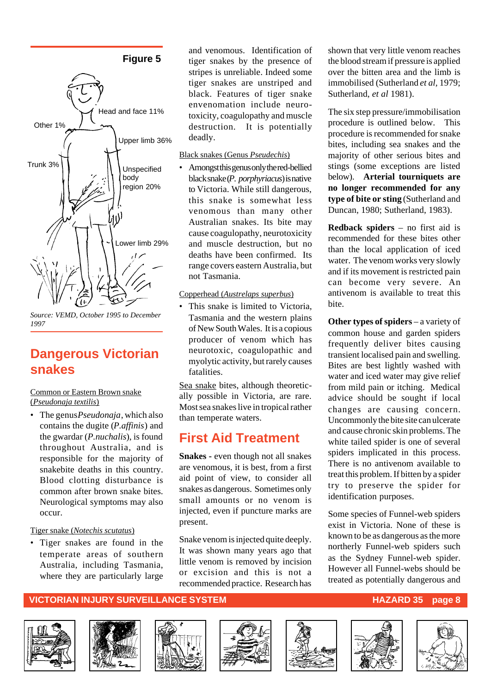#### **Figure 5**



*Source: VEMD, October 1995 to December 1997*

### **Dangerous Victorian snakes**

Common or Eastern Brown snake (*Pseudonaja textilis*)

• The genus *Pseudonaja*, which also contains the dugite (*P.affinis*) and the gwardar (*P.nuchalis*), is found throughout Australia, and is responsible for the majority of snakebite deaths in this country. Blood clotting disturbance is common after brown snake bites. Neurological symptoms may also occur.

#### Tiger snake (*Notechis scutatus*)

• Tiger snakes are found in the temperate areas of southern Australia, including Tasmania, where they are particularly large

and venomous. Identification of tiger snakes by the presence of stripes is unreliable. Indeed some tiger snakes are unstriped and black. Features of tiger snake envenomation include neurotoxicity, coagulopathy and muscle destruction. It is potentially deadly.

#### Black snakes (Genus *Pseudechis*)

• Amongst this genus only the red-bellied black snake (*P. porphyriacus*) is native to Victoria. While still dangerous, this snake is somewhat less venomous than many other Australian snakes. Its bite may cause coagulopathy, neurotoxicity and muscle destruction, but no deaths have been confirmed. Its range covers eastern Australia, but not Tasmania.

#### Copperhead (*Austrelaps superbus*)

• This snake is limited to Victoria, Tasmania and the western plains of New South Wales. It is a copious producer of venom which has neurotoxic, coagulopathic and myolytic activity, but rarely causes fatalities.

Sea snake bites, although theoretically possible in Victoria, are rare. Most sea snakes live in tropical rather than temperate waters.

#### **First Aid Treatment**

**Snakes** - even though not all snakes are venomous, it is best, from a first aid point of view, to consider all snakes as dangerous. Sometimes only small amounts or no venom is injected, even if puncture marks are present.

Snake venom is injected quite deeply. It was shown many years ago that little venom is removed by incision or excision and this is not a recommended practice. Research has

shown that very little venom reaches the blood stream if pressure is applied over the bitten area and the limb is immobilised (Sutherland *et al,* 1979; Sutherland, *et al* 1981).

The six step pressure/immobilisation procedure is outlined below. This procedure is recommended for snake bites, including sea snakes and the majority of other serious bites and stings (some exceptions are listed below). **Arterial tourniquets are no longer recommended for any type of bite or sting** (Sutherland and Duncan, 1980; Sutherland, 1983).

**Redback spiders** – no first aid is recommended for these bites other than the local application of iced water. The venom works very slowly and if its movement is restricted pain can become very severe. An antivenom is available to treat this bite.

**Other types of spiders** – a variety of common house and garden spiders frequently deliver bites causing transient localised pain and swelling. Bites are best lightly washed with water and iced water may give relief from mild pain or itching. Medical advice should be sought if local changes are causing concern. Uncommonly the bite site can ulcerate and cause chronic skin problems. The white tailed spider is one of several spiders implicated in this process. There is no antivenom available to treat this problem. If bitten by a spider try to preserve the spider for identification purposes.

Some species of Funnel-web spiders exist in Victoria. None of these is known to be as dangerous as the more northerly Funnel-web spiders such as the Sydney Funnel-web spider. However all Funnel-webs should be treated as potentially dangerous and

#### **VICTORIAN INJURY SURVEILLANCE SYSTEM AND RESOLUTION CONTROLLY AND RESOLUTION CONTROLLY AND RESOLUTION CONTROLLY A**











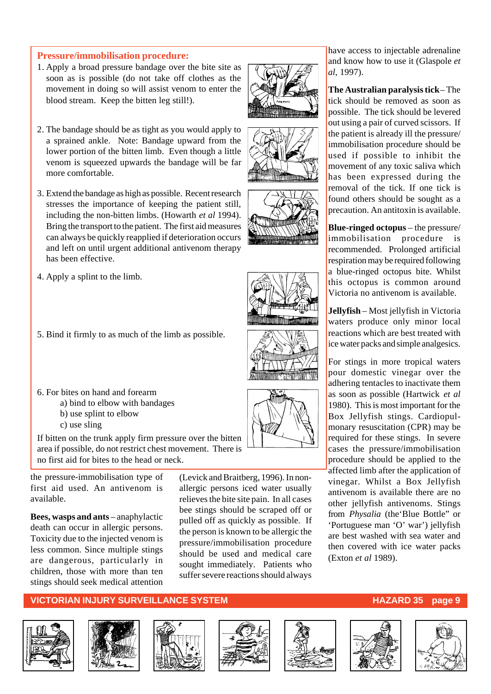#### **Pressure/immobilisation procedure:**

- 1. Apply a broad pressure bandage over the bite site as soon as is possible (do not take off clothes as the movement in doing so will assist venom to enter the blood stream. Keep the bitten leg still!).
- 2. The bandage should be as tight as you would apply to a sprained ankle. Note: Bandage upward from the lower portion of the bitten limb. Even though a little venom is squeezed upwards the bandage will be far more comfortable.
- 3. Extend the bandage as high as possible. Recent research stresses the importance of keeping the patient still, including the non-bitten limbs. (Howarth *et al* 1994). Bring the transport to the patient. The first aid measures can always be quickly reapplied if deterioration occurs and left on until urgent additional antivenom therapy has been effective.
- 4. Apply a splint to the limb.
- 5. Bind it firmly to as much of the limb as possible.
- 6. For bites on hand and forearm
	- a) bind to elbow with bandages
	- b) use splint to elbow
	- c) use sling

If bitten on the trunk apply firm pressure over the bitten area if possible, do not restrict chest movement. There is no first aid for bites to the head or neck.

the pressure-immobilisation type of first aid used. An antivenom is available.

**Bees, wasps and ants** – anaphylactic death can occur in allergic persons. Toxicity due to the injected venom is less common. Since multiple stings are dangerous, particularly in children, those with more than ten stings should seek medical attention

(Levick and Braitberg, 1996). In nonallergic persons iced water usually relieves the bite site pain. In all cases bee stings should be scraped off or pulled off as quickly as possible. If the person is known to be allergic the pressure/immobilisation procedure should be used and medical care sought immediately. Patients who suffer severe reactions should always

have access to injectable adrenaline and know how to use it (Glaspole *et al*, 1997).

**The Australian paralysis tick** – The tick should be removed as soon as possible. The tick should be levered out using a pair of curved scissors. If the patient is already ill the pressure/ immobilisation procedure should be used if possible to inhibit the movement of any toxic saliva which has been expressed during the removal of the tick. If one tick is found others should be sought as a precaution. An antitoxin is available.

**Blue-ringed octopus** – the pressure/ immobilisation procedure is recommended. Prolonged artificial respiration may be required following a blue-ringed octopus bite. Whilst this octopus is common around Victoria no antivenom is available.

**Jellyfish** – Most jellyfish in Victoria waters produce only minor local reactions which are best treated with ice water packs and simple analgesics.

For stings in more tropical waters pour domestic vinegar over the adhering tentacles to inactivate them as soon as possible (Hartwick *et al* 1980). This is most important for the Box Jellyfish stings. Cardiopulmonary resuscitation (CPR) may be required for these stings. In severe cases the pressure/immobilisation procedure should be applied to the affected limb after the application of vinegar. Whilst a Box Jellyfish antivenom is available there are no other jellyfish antivenoms. Stings from *Physalia* (the'Blue Bottle" or 'Portuguese man 'O' war') jellyfish are best washed with sea water and then covered with ice water packs (Exton *et al* 1989).



















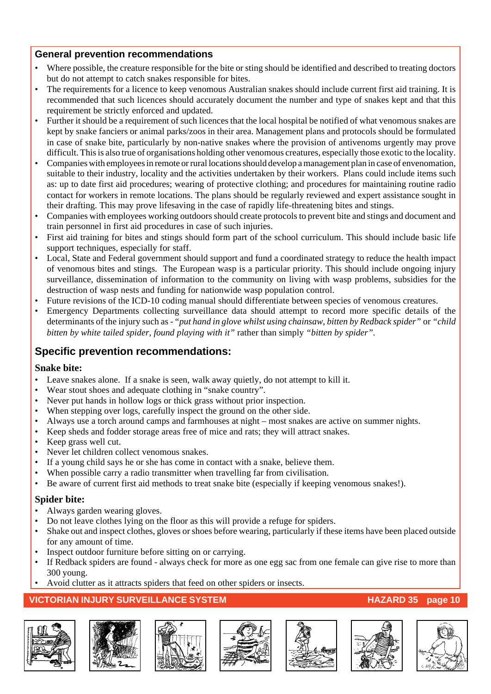#### **General prevention recommendations**

- Where possible, the creature responsible for the bite or sting should be identified and described to treating doctors but do not attempt to catch snakes responsible for bites.
- The requirements for a licence to keep venomous Australian snakes should include current first aid training. It is recommended that such licences should accurately document the number and type of snakes kept and that this requirement be strictly enforced and updated.
- Further it should be a requirement of such licences that the local hospital be notified of what venomous snakes are kept by snake fanciers or animal parks/zoos in their area. Management plans and protocols should be formulated in case of snake bite, particularly by non-native snakes where the provision of antivenoms urgently may prove difficult. This is also true of organisations holding other venomous creatures, especially those exotic to the locality.
- Companies with employees in remote or rural locations should develop a management plan in case of envenomation, suitable to their industry, locality and the activities undertaken by their workers. Plans could include items such as: up to date first aid procedures; wearing of protective clothing; and procedures for maintaining routine radio contact for workers in remote locations. The plans should be regularly reviewed and expert assistance sought in their drafting. This may prove lifesaving in the case of rapidly life-threatening bites and stings.
- Companies with employees working outdoors should create protocols to prevent bite and stings and document and train personnel in first aid procedures in case of such injuries.
- First aid training for bites and stings should form part of the school curriculum. This should include basic life support techniques, especially for staff.
- Local, State and Federal government should support and fund a coordinated strategy to reduce the health impact of venomous bites and stings. The European wasp is a particular priority. This should include ongoing injury surveillance, dissemination of information to the community on living with wasp problems, subsidies for the destruction of wasp nests and funding for nationwide wasp population control.
- Future revisions of the ICD-10 coding manual should differentiate between species of venomous creatures.
- Emergency Departments collecting surveillance data should attempt to record more specific details of the determinants of the injury such as - *"put hand in glove whilst using chainsaw, bitten by Redback spider"* or *"child bitten by white tailed spider, found playing with it"* rather than simply *"bitten by spider".*

#### **Specific prevention recommendations:**

#### **Snake bite:**

- Leave snakes alone. If a snake is seen, walk away quietly, do not attempt to kill it.
- Wear stout shoes and adequate clothing in "snake country".
- Never put hands in hollow logs or thick grass without prior inspection.
- When stepping over logs, carefully inspect the ground on the other side.
- Always use a torch around camps and farmhouses at night most snakes are active on summer nights.
- Keep sheds and fodder storage areas free of mice and rats; they will attract snakes.
- Keep grass well cut.
- Never let children collect venomous snakes.
- If a young child says he or she has come in contact with a snake, believe them.
- When possible carry a radio transmitter when travelling far from civilisation.
- Be aware of current first aid methods to treat snake bite (especially if keeping venomous snakes!).

#### **Spider bite:**

- Always garden wearing gloves.
- Do not leave clothes lying on the floor as this will provide a refuge for spiders.
- Shake out and inspect clothes, gloves or shoes before wearing, particularly if these items have been placed outside for any amount of time.
- Inspect outdoor furniture before sitting on or carrying.
- If Redback spiders are found always check for more as one egg sac from one female can give rise to more than 300 young.
- Avoid clutter as it attracts spiders that feed on other spiders or insects.













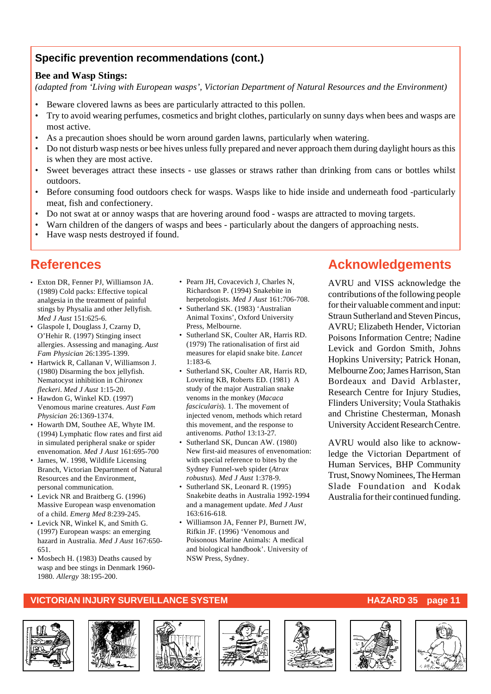#### **Specific prevention recommendations (cont.)**

#### **Bee and Wasp Stings:**

*(adapted from 'Living with European wasps', Victorian Department of Natural Resources and the Environment)*

- Beware clovered lawns as bees are particularly attracted to this pollen.
- Try to avoid wearing perfumes, cosmetics and bright clothes, particularly on sunny days when bees and wasps are most active.
- As a precaution shoes should be worn around garden lawns, particularly when watering.
- Do not disturb wasp nests or bee hives unless fully prepared and never approach them during daylight hours as this is when they are most active.
- Sweet beverages attract these insects use glasses or straws rather than drinking from cans or bottles whilst outdoors.
- Before consuming food outdoors check for wasps. Wasps like to hide inside and underneath food -particularly meat, fish and confectionery.
- Do not swat at or annoy wasps that are hovering around food wasps are attracted to moving targets.
- Warn children of the dangers of wasps and bees particularly about the dangers of approaching nests.
- Have wasp nests destroyed if found.

### **References**

- Exton DR, Fenner PJ, Williamson JA. (1989) Cold packs: Effective topical analgesia in the treatment of painful stings by Physalia and other Jellyfish. *Med J Aust* 151:625-6.
- Glaspole I, Douglass J, Czarny D, O'Hehir R. (1997) Stinging insect allergies. Assessing and managing. *Aust Fam Physician* 26:1395-1399.
- Hartwick R, Callanan V, Williamson J. (1980) Disarming the box jellyfish. Nematocyst inhibition in *Chironex fleckeri*. *Med J Aust* 1:15-20.
- Hawdon G, Winkel KD. (1997) Venomous marine creatures. *Aust Fam Physician* 26:1369-1374.
- Howarth DM, Southee AE, Whyte IM. (1994) Lymphatic flow rates and first aid in simulated peripheral snake or spider envenomation. *Med J Aust* 161:695-700
- James, W. 1998, Wildlife Licensing Branch, Victorian Department of Natural Resources and the Environment, personal communication.
- Levick NR and Braitberg G. (1996) Massive European wasp envenomation of a child. *Emerg Med* 8:239-245.
- Levick NR, Winkel K, and Smith G. (1997) European wasps: an emerging hazard in Australia. *Med J Aust* 167:650- 651.
- Mosbech H. (1983) Deaths caused by wasp and bee stings in Denmark 1960- 1980. *Allergy* 38:195-200.
- Pearn JH, Covacevich J, Charles N, Richardson P. (1994) Snakebite in herpetologists. *Med J Aust* 161:706-708.
- Sutherland SK. (1983) 'Australian Animal Toxins', Oxford University Press, Melbourne.
- Sutherland SK, Coulter AR, Harris RD. (1979) The rationalisation of first aid measures for elapid snake bite. *Lancet* 1:183-6*.*
- Sutherland SK, Coulter AR, Harris RD, Lovering KB, Roberts ED. (1981) A study of the major Australian snake venoms in the monkey (*Macaca fascicularis*). 1. The movement of injected venom, methods which retard this movement, and the response to antivenoms. *Pathol* 13:13-27*.*
- Sutherland SK, Duncan AW. (1980) New first-aid measures of envenomation: with special reference to bites by the Sydney Funnel-web spider (*Atrax robustus*). *Med J Aust* 1:378-9.
- Sutherland SK, Leonard R. (1995) Snakebite deaths in Australia 1992-1994 and a management update. *Med J Aust* 163:616-618*.*
- Williamson JA, Fenner PJ, Burnett JW, Rifkin JF. (1996) 'Venomous and Poisonous Marine Animals: A medical and biological handbook'. University of NSW Press, Sydney.

### **Acknowledgements**

AVRU and VISS acknowledge the contributions of the following people for their valuable comment and input: Straun Sutherland and Steven Pincus, AVRU; Elizabeth Hender, Victorian Poisons Information Centre; Nadine Levick and Gordon Smith, Johns Hopkins University; Patrick Honan, Melbourne Zoo; James Harrison, Stan Bordeaux and David Arblaster, Research Centre for Injury Studies, Flinders University; Voula Stathakis and Christine Chesterman, Monash University Accident Research Centre.

AVRU would also like to acknowledge the Victorian Department of Human Services, BHP Community Trust, Snowy Nominees, The Herman Slade Foundation and Kodak Australia for their continued funding.

#### **VICTORIAN INJURY SURVEILLANCE SYSTEM AND REALLY CONTROLLY CONTROLLY AND REALLY CONTROLLY CONTROLLY AND REALLY CONTROLLY AND REALLY AND REALLY FOUND AT A LIMIT OF A LIMIT OF A LIMIT OF A LIMIT OF A LIMIT OF A LIMIT OF A LI**













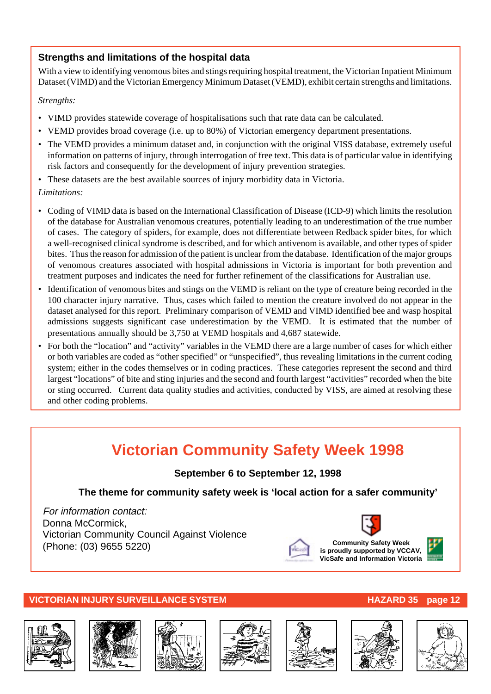#### **Strengths and limitations of the hospital data**

With a view to identifying venomous bites and stings requiring hospital treatment, the Victorian Inpatient Minimum Dataset (VIMD) and the Victorian Emergency Minimum Dataset (VEMD), exhibit certain strengths and limitations.

#### *Strengths:*

- VIMD provides statewide coverage of hospitalisations such that rate data can be calculated.
- VEMD provides broad coverage (i.e. up to 80%) of Victorian emergency department presentations.
- The VEMD provides a minimum dataset and, in conjunction with the original VISS database, extremely useful information on patterns of injury, through interrogation of free text. This data is of particular value in identifying risk factors and consequently for the development of injury prevention strategies.
- These datasets are the best available sources of injury morbidity data in Victoria.

#### *Limitations:*

- Coding of VIMD data is based on the International Classification of Disease (ICD-9) which limits the resolution of the database for Australian venomous creatures, potentially leading to an underestimation of the true number of cases. The category of spiders, for example, does not differentiate between Redback spider bites, for which a well-recognised clinical syndrome is described, and for which antivenom is available, and other types of spider bites. Thus the reason for admission of the patient is unclear from the database. Identification of the major groups of venomous creatures associated with hospital admissions in Victoria is important for both prevention and treatment purposes and indicates the need for further refinement of the classifications for Australian use.
- Identification of venomous bites and stings on the VEMD is reliant on the type of creature being recorded in the 100 character injury narrative. Thus, cases which failed to mention the creature involved do not appear in the dataset analysed for this report. Preliminary comparison of VEMD and VIMD identified bee and wasp hospital admissions suggests significant case underestimation by the VEMD. It is estimated that the number of presentations annually should be 3,750 at VEMD hospitals and 4,687 statewide.
- For both the "location" and "activity" variables in the VEMD there are a large number of cases for which either or both variables are coded as "other specified" or "unspecified", thus revealing limitations in the current coding system; either in the codes themselves or in coding practices. These categories represent the second and third largest "locations" of bite and sting injuries and the second and fourth largest "activities" recorded when the bite or sting occurred. Current data quality studies and activities, conducted by VISS, are aimed at resolving these and other coding problems.

## **Victorian Community Safety Week 1998**

**September 6 to September 12, 1998**

**The theme for community safety week is 'local action for a safer community'**

For information contact: Donna McCormick, Victorian Community Council Against Violence (Phone: (03) 9655 5220) **Community Safety Week**



#### **VICTORIAN INJURY SURVEILLANCE SYSTEM AND REALLY CONSUMING THE HAZARD 35 page 12**













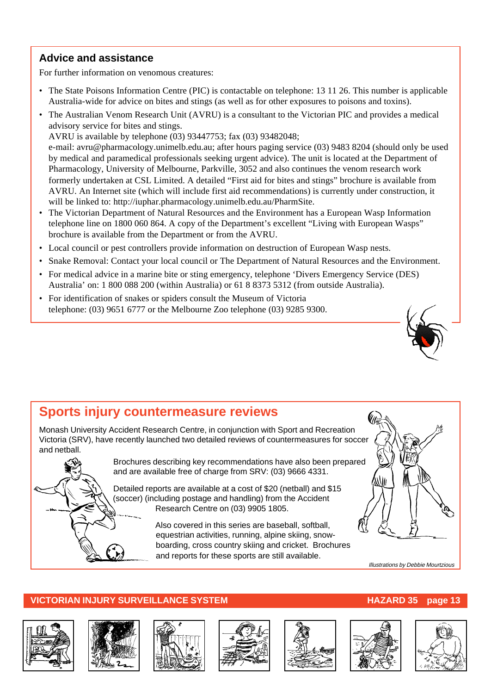#### **Advice and assistance**

For further information on venomous creatures:

- The State Poisons Information Centre (PIC) is contactable on telephone: 13 11 26. This number is applicable Australia-wide for advice on bites and stings (as well as for other exposures to poisons and toxins).
- The Australian Venom Research Unit (AVRU) is a consultant to the Victorian PIC and provides a medical advisory service for bites and stings.

AVRU is available by telephone (03) 93447753; fax (03) 93482048; e-mail: avru@pharmacology.unimelb.edu.au; after hours paging service (03) 9483 8204 (should only be used by medical and paramedical professionals seeking urgent advice). The unit is located at the Department of Pharmacology, University of Melbourne, Parkville, 3052 and also continues the venom research work formerly undertaken at CSL Limited. A detailed "First aid for bites and stings" brochure is available from AVRU. An Internet site (which will include first aid recommendations) is currently under construction, it will be linked to: http://iuphar.pharmacology.unimelb.edu.au/PharmSite.

- The Victorian Department of Natural Resources and the Environment has a European Wasp Information telephone line on 1800 060 864. A copy of the Department's excellent "Living with European Wasps" brochure is available from the Department or from the AVRU.
- Local council or pest controllers provide information on destruction of European Wasp nests.
- Snake Removal: Contact your local council or The Department of Natural Resources and the Environment.
- For medical advice in a marine bite or sting emergency, telephone 'Divers Emergency Service (DES) Australia' on: 1 800 088 200 (within Australia) or 61 8 8373 5312 (from outside Australia).
- For identification of snakes or spiders consult the Museum of Victoria telephone: (03) 9651 6777 or the Melbourne Zoo telephone (03) 9285 9300.



### **Sports injury countermeasure reviews**

Monash University Accident Research Centre, in conjunction with Sport and Recreation Victoria (SRV), have recently launched two detailed reviews of countermeasures for soccer and netball.



Brochures describing key recommendations have also been prepared and are available free of charge from SRV: (03) 9666 4331.

Detailed reports are available at a cost of \$20 (netball) and \$15 (soccer) (including postage and handling) from the Accident Research Centre on (03) 9905 1805.

> Also covered in this series are baseball, softball, equestrian activities, running, alpine skiing, snowboarding, cross country skiing and cricket. Brochures and reports for these sports are still available.



Illustrations by Debbie Mourtzious













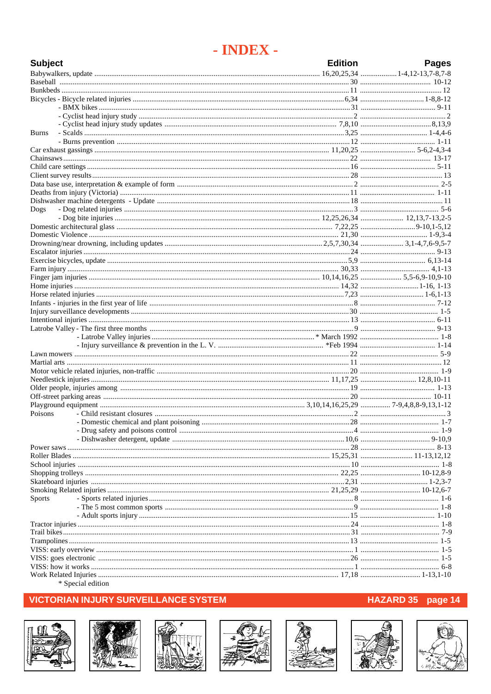### - INDEX -

| <b>Subject</b> | <b>Edition</b> | <b>Pages</b> |
|----------------|----------------|--------------|
|                |                |              |
|                |                |              |
|                |                |              |
|                |                |              |
|                |                |              |
|                |                |              |
| <b>Burns</b>   |                |              |
|                |                |              |
|                |                |              |
|                |                |              |
|                |                |              |
|                |                |              |
|                |                |              |
|                |                |              |
|                |                |              |
| Dogs           |                |              |
|                |                |              |
|                |                |              |
|                |                |              |
|                |                |              |
|                |                |              |
|                |                |              |
|                |                |              |
|                |                |              |
|                |                |              |
|                |                |              |
|                |                |              |
|                |                |              |
|                |                |              |
|                |                |              |
|                |                |              |
|                |                |              |
|                |                |              |
|                |                |              |
|                |                |              |
|                |                |              |
|                |                |              |
|                |                |              |
| Poisons        |                |              |
|                |                |              |
|                |                |              |
|                |                |              |
|                |                |              |
|                |                |              |
|                |                |              |
|                |                |              |
|                |                |              |
|                |                |              |
| Sports         |                |              |
|                |                |              |
|                |                |              |
|                |                |              |
|                |                |              |
|                |                |              |
|                |                |              |
|                |                |              |
|                |                |              |
|                |                |              |

\* Special edition

#### **VICTORIAN INJURY SURVEILLANCE SYSTEM**















### HAZARD 35 page 14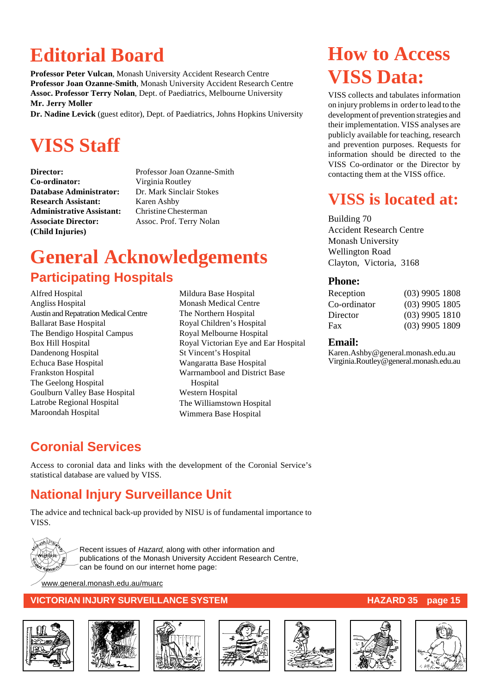## **Editorial Board**

**Professor Peter Vulcan**, Monash University Accident Research Centre **Professor Joan Ozanne-Smith**, Monash University Accident Research Centre **Assoc. Professor Terry Nolan**, Dept. of Paediatrics, Melbourne University **Mr. Jerry Moller**

**Dr. Nadine Levick** (guest editor), Dept. of Paediatrics, Johns Hopkins University

## **VISS Staff**

**Co-ordinator:** Virginia Routley **Database Administrator:** Dr. Mark Sinclair Stokes **Research Assistant:** Karen Ashby **Administrative Assistant:** Christine Chesterman **Associate Director:** Assoc. Prof. Terry Nolan **(Child Injuries)**

**Director:** Professor Joan Ozanne-Smith

## **General Acknowledgements Participating Hospitals**

Alfred Hospital Angliss Hospital Austin and Repatration Medical Centre Ballarat Base Hospital The Bendigo Hospital Campus Box Hill Hospital Dandenong Hospital Echuca Base Hospital Frankston Hospital The Geelong Hospital Goulburn Valley Base Hospital Latrobe Regional Hospital Maroondah Hospital

Mildura Base Hospital Monash Medical Centre The Northern Hospital Royal Children's Hospital Royal Melbourne Hospital Royal Victorian Eye and Ear Hospital St Vincent's Hospital Wangaratta Base Hospital Warrnambool and District Base Hospital Western Hospital The Williamstown Hospital Wimmera Base Hospital

## **How to Access VISS Data:**

VISS collects and tabulates information on injury problems in order to lead to the development of prevention strategies and their implementation. VISS analyses are publicly available for teaching, research and prevention purposes. Requests for information should be directed to the VISS Co-ordinator or the Director by contacting them at the VISS office.

## **VISS is located at:**

Building 70 Accident Research Centre Monash University Wellington Road Clayton, Victoria, 3168

#### **Phone:**

| $(03)$ 9905 1808 |
|------------------|
| $(03)$ 9905 1805 |
| $(03)$ 9905 1810 |
| $(03)$ 9905 1809 |
|                  |

#### **Email:**

Karen.Ashby@general.monash.edu.au Virginia.Routley@general.monash.edu.au

### **Coronial Services**

Access to coronial data and links with the development of the Coronial Service's statistical database are valued by VISS.

### **National Injury Surveillance Unit**

The advice and technical back-up provided by NISU is of fundamental importance to VISS.



Recent issues of Hazard, along with other information and publications of the Monash University Accident Research Centre, can be found on our internet home page:

www.general.monash.edu.au/muarc